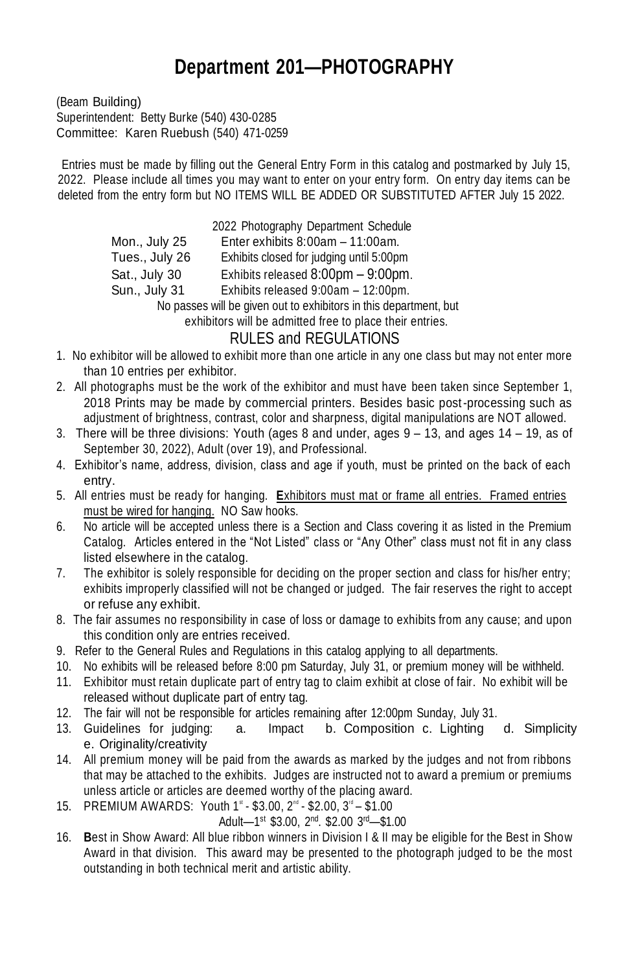## **Department 201—PHOTOGRAPHY**

(Beam Building) Superintendent: Betty Burke (540) 430-0285 Committee: Karen Ruebush (540) 471-0259

Entries must be made by filling out the General Entry Form in this catalog and postmarked by July 15, 2022. Please include all times you may want to enter on your entry form. On entry day items can be deleted from the entry form but NO ITEMS WILL BE ADDED OR SUBSTITUTED AFTER July 15 2022.

> 2022 Photography Department Schedule Mon., July 25 Enter exhibits 8:00am – 11:00am. Tues., July 26 Exhibits closed for judging until 5:00pm Sat., July 30 Exhibits released 8:00pm – 9:00pm. Sun., July 31 Exhibits released 9:00am – 12:00pm. No passes will be given out to exhibitors in this department, but exhibitors will be admitted free to place their entries.

## RULES and REGULATIONS

- 1. No exhibitor will be allowed to exhibit more than one article in any one class but may not enter more than 10 entries per exhibitor.
- 2. All photographs must be the work of the exhibitor and must have been taken since September 1, 2018 Prints may be made by commercial printers. Besides basic post-processing such as adjustment of brightness, contrast, color and sharpness, digital manipulations are NOT allowed.
- 3. There will be three divisions: Youth (ages  $8$  and under, ages  $9 13$ , and ages  $14 19$ , as of September 30, 2022), Adult (over 19), and Professional.
- 4. Exhibitor's name, address, division, class and age if youth, must be printed on the back of each entry.
- 5. All entries must be ready for hanging. **E**xhibitors must mat or frame all entries. Framed entries must be wired for hanging. NO Saw hooks.
- 6. No article will be accepted unless there is a Section and Class covering it as listed in the Premium Catalog. Articles entered in the "Not Listed" class or "Any Other" class must not fit in any class listed elsewhere in the catalog.
- 7. The exhibitor is solely responsible for deciding on the proper section and class for his/her entry; exhibits improperly classified will not be changed or judged. The fair reserves the right to accept or refuse any exhibit.
- 8. The fair assumes no responsibility in case of loss or damage to exhibits from any cause; and upon this condition only are entries received.
- 9. Refer to the General Rules and Regulations in this catalog applying to all departments.
- 10. No exhibits will be released before 8:00 pm Saturday, July 31, or premium money will be withheld.
- 11. Exhibitor must retain duplicate part of entry tag to claim exhibit at close of fair. No exhibit will be released without duplicate part of entry tag.
- 12. The fair will not be responsible for articles remaining after 12:00pm Sunday, July 31.
- 13. Guidelines for judging: a. Impact b. Composition c. Lighting d. Simplicity e. Originality/creativity
- 14. All premium money will be paid from the awards as marked by the judges and not from ribbons that may be attached to the exhibits. Judges are instructed not to award a premium or premiums unless article or articles are deemed worthy of the placing award.
- 15. PREMIUM AWARDS: Youth 1<sup>st</sup> \$3.00, 2<sup>nd</sup> \$2.00, 3<sup>rd</sup> \$1.00

$$
A \text{dult} - 1^{\text{st}} \$3.00, 2^{\text{nd}}. \$2.00 \, 3^{\text{rd}} - \$1.00
$$

16. **B**est in Show Award: All blue ribbon winners in Division I & II may be eligible for the Best in Show Award in that division. This award may be presented to the photograph judged to be the most outstanding in both technical merit and artistic ability.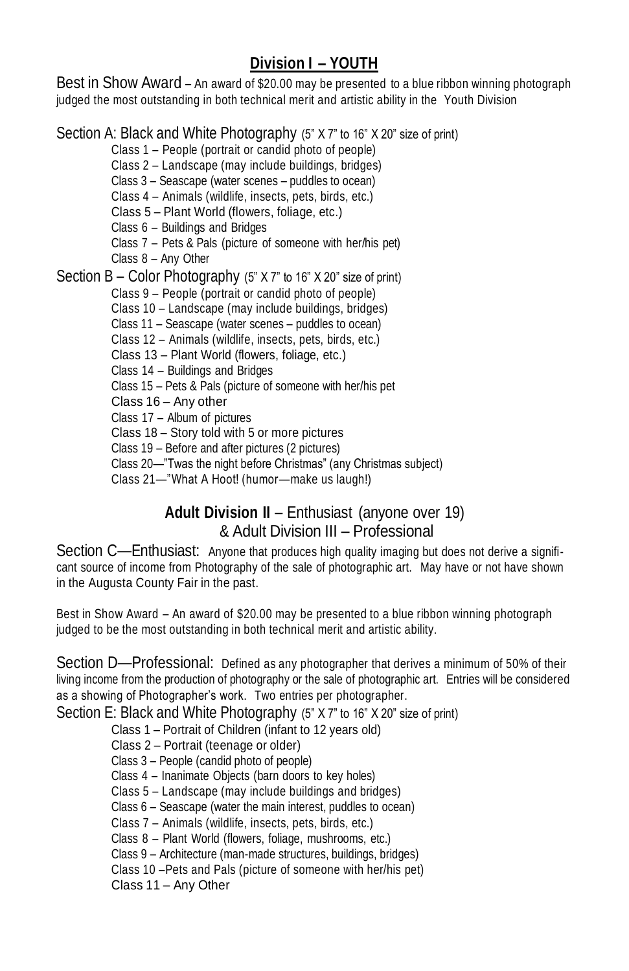## **Division I – YOUTH**

Best in Show Award – An award of \$20.00 may be presented to a blue ribbon winning photograph judged the most outstanding in both technical merit and artistic ability in the Youth Division

Section A: Black and White Photography (5" X 7" to 16" X 20" size of print)

Class 1 – People (portrait or candid photo of people)

Class 2 – Landscape (may include buildings, bridges)

Class 3 – Seascape (water scenes – puddles to ocean)

Class 4 – Animals (wildlife, insects, pets, birds, etc.)

Class 5 – Plant World (flowers, foliage, etc.)

Class 6 – Buildings and Bridges

Class 7 – Pets & Pals (picture of someone with her/his pet)

Class 8 – Any Other

Section B – Color Photography (5" X 7" to 16" X 20" size of print)

Class 9 – People (portrait or candid photo of people)

Class 10 – Landscape (may include buildings, bridges)

Class 11 – Seascape (water scenes – puddles to ocean)

Class 12 – Animals (wildlife, insects, pets, birds, etc.)

Class 13 – Plant World (flowers, foliage, etc.)

Class 14 – Buildings and Bridges

Class 15 – Pets & Pals (picture of someone with her/his pet

Class 16 – Any other

Class 17 – Album of pictures

Class 18 – Story told with 5 or more pictures

Class 19 – Before and after pictures (2 pictures)

Class 20—"Twas the night before Christmas" (any Christmas subject)

Class 21—"What A Hoot! (humor—make us laugh!)

## **Adult Division II** – Enthusiast (anyone over 19) & Adult Division III – Professional

Section C—Enthusiast: Anyone that produces high quality imaging but does not derive a significant source of income from Photography of the sale of photographic art. May have or not have shown in the Augusta County Fair in the past.

Best in Show Award – An award of \$20.00 may be presented to a blue ribbon winning photograph judged to be the most outstanding in both technical merit and artistic ability.

Section D—Professional: Defined as any photographer that derives a minimum of 50% of their living income from the production of photography or the sale of photographic art. Entries will be considered as a showing of Photographer's work. Two entries per photographer.

Section E: Black and White Photography (5" X 7" to 16" X 20" size of print)

Class 1 – Portrait of Children (infant to 12 years old)

Class 2 – Portrait (teenage or older)

Class 3 – People (candid photo of people)

Class 4 – Inanimate Objects (barn doors to key holes)

Class 5 – Landscape (may include buildings and bridges)

Class 6 – Seascape (water the main interest, puddles to ocean)

Class 7 – Animals (wildlife, insects, pets, birds, etc.)

Class 8 – Plant World (flowers, foliage, mushrooms, etc.)

Class 9 – Architecture (man-made structures, buildings, bridges)

Class 10 –Pets and Pals (picture of someone with her/his pet)

Class 11 – Any Other